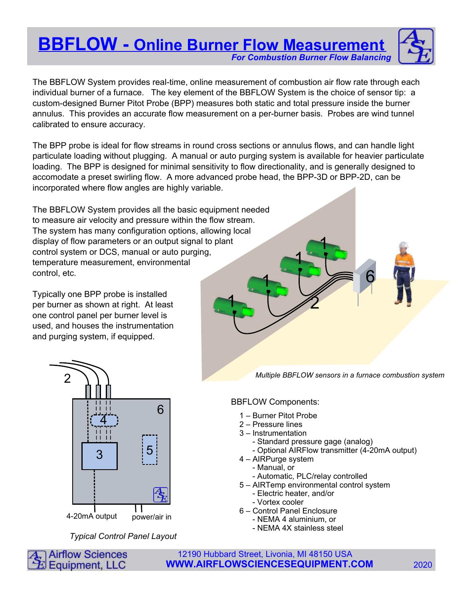# **BBFLOW - Online Burner Flow Measurement** For Combustion Burner Flow Balancing



The BBFLOW System provides real-time, online measurement of combustion air flow rate through each individual burner of a furnace. The key element of the BBFLOW System is the choice of sensor tip: a custom-designed Burner Pitot Probe (BPP) measures both static and total pressure inside the burner annulus. This provides an accurate flow measurement on a per-burner basis. Probes are wind tunnel calibrated to ensure accuracy.

The BPP probe is ideal for flow streams in round cross sections or annulus flows, and can handle light particulate loading without plugging. A manual or auto purging system is available for heavier particulate loading. The BPP is designed for minimal sensitivity to flow directionality, and is generally designed to accomodate a preset swirling flow. A more advanced probe head, the BPP-3D or BPP-2D, can be incorporated where flow angles are highly variable.

1 The BBFLOW System provides all the basic equipment needed to measure air velocity and pressure within the flow stream. The system has many configuration options, allowing local display of flow parameters or an output signal to plant control system or DCS, manual or auto purging, temperature measurement, environmental control, etc.

Typically one BPP probe is installed per burner as shown at right. At least one control panel per burner level is used, and houses the instrumentation and purging system, if equipped.



Typical Control Panel Layout

Multiple BBFLOW sensors in a furnace combustion system

6

# BBFLOW Components:

1 2

1

1

- 1 Burner Pitot Probe
- 2 Pressure lines
- 3 Instrumentation
	- Standard pressure gage (analog)
	- Optional AIRFlow transmitter (4-20mA output)
- 4 AIRPurge system
	- Manual, or
	- Automatic, PLC/relay controlled
- 5 AIRTemp environmental control system
	- Electric heater, and/or
	- Vortex cooler
- 6 Control Panel Enclosure
	- NEMA 4 aluminium, or
	- NEMA 4X stainless steel

**Airflow Sciences** 12190 Hubbard Street, Livonia, MI 48150 USA Equipment, LLC **WWW.AIRFLOWSCIENCESEQUIPMENT.COM** 2020